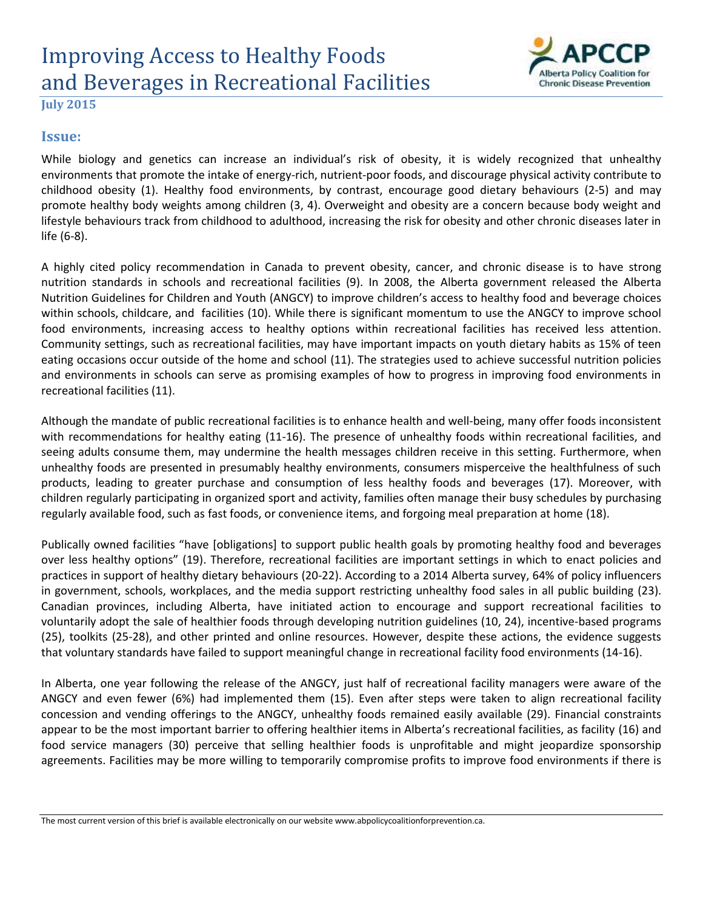# Improving Access to Healthy Foods and Beverages in Recreational Facilities



**July 2015**

#### **Issue:**

While biology and genetics can increase an individual's risk of obesity, it is widely recognized that unhealthy environments that promote the intake of energy-rich, nutrient-poor foods, and discourage physical activity contribute to childhood obesity [\(1\)](#page-2-0). Healthy food environments, by contrast, encourage good dietary behaviours [\(2-5\)](#page-2-1) and may promote healthy body weights among children [\(3,](#page-2-2) [4\)](#page-2-3). Overweight and obesity are a concern because body weight and lifestyle behaviours track from childhood to adulthood, increasing the risk for obesity and other chronic diseases later in life [\(6-8\)](#page-2-4).

A highly cited policy recommendation in Canada to prevent obesity, cancer, and chronic disease is to have strong nutrition standards in schools and recreational facilities [\(9\)](#page-2-5). In 2008, the Alberta government released the Alberta Nutrition Guidelines for Children and Youth (ANGCY) to improve children's access to healthy food and beverage choices within schools, childcare, and facilities [\(10\)](#page-2-6). While there is significant momentum to use the ANGCY to improve school food environments, increasing access to healthy options within recreational facilities has received less attention. Community settings, such as recreational facilities, may have important impacts on youth dietary habits as 15% of teen eating occasions occur outside of the home and school [\(11\)](#page-2-7). The strategies used to achieve successful nutrition policies and environments in schools can serve as promising examples of how to progress in improving food environments in recreational facilities [\(11\)](#page-2-7).

Although the mandate of public recreational facilities is to enhance health and well-being, many offer foods inconsistent with recommendations for healthy eating [\(11-16\)](#page-2-7). The presence of unhealthy foods within recreational facilities, and seeing adults consume them, may undermine the health messages children receive in this setting. Furthermore, when unhealthy foods are presented in presumably healthy environments, consumers misperceive the healthfulness of such products, leading to greater purchase and consumption of less healthy foods and beverages [\(17\)](#page-3-0). Moreover, with children regularly participating in organized sport and activity, families often manage their busy schedules by purchasing regularly available food, such as fast foods, or convenience items, and forgoing meal preparation at home [\(18\)](#page-3-1).

Publically owned facilities "have [obligations] to support public health goals by promoting healthy food and beverages over less healthy options" [\(19\)](#page-3-2). Therefore, recreational facilities are important settings in which to enact policies and practices in support of healthy dietary behaviours [\(20-22\)](#page-3-3). According to a 2014 Alberta survey, 64% of policy influencers in government, schools, workplaces, and the media support restricting unhealthy food sales in all public building [\(23\)](#page-3-4). Canadian provinces, including Alberta, have initiated action to encourage and support recreational facilities to voluntarily adopt the sale of healthier foods through developing nutrition guidelines [\(10,](#page-2-6) [24\)](#page-3-5), incentive-based programs [\(25\)](#page-3-6), toolkits [\(25-28\)](#page-3-6), and other printed and online resources. However, despite these actions, the evidence suggests that voluntary standards have failed to support meaningful change in recreational facility food environments [\(14-16\)](#page-2-8).

In Alberta, one year following the release of the ANGCY, just half of recreational facility managers were aware of the ANGCY and even fewer (6%) had implemented them [\(15\)](#page-3-7). Even after steps were taken to align recreational facility concession and vending offerings to the ANGCY, unhealthy foods remained easily available [\(29\)](#page-3-8). Financial constraints appear to be the most important barrier to offering healthier items in Alberta's recreational facilities, as facility [\(16\)](#page-3-9) and food service managers [\(30\)](#page-3-10) perceive that selling healthier foods is unprofitable and might jeopardize sponsorship agreements. Facilities may be more willing to temporarily compromise profits to improve food environments if there is

The most current version of this brief is available electronically on our website www.abpolicycoalitionforprevention.ca.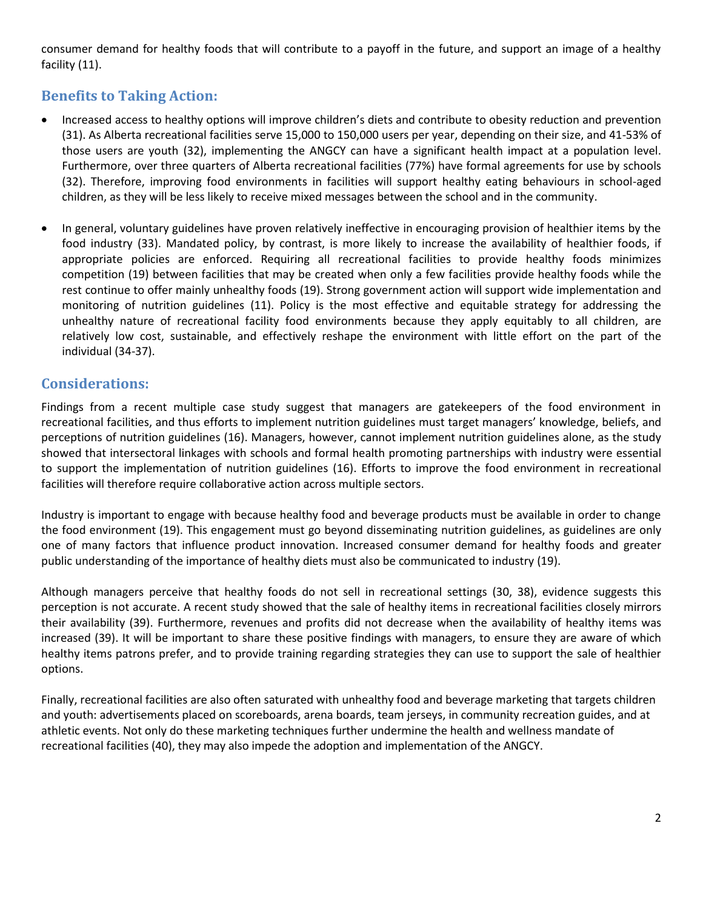consumer demand for healthy foods that will contribute to a payoff in the future, and support an image of a healthy facility [\(11\)](#page-2-7).

## **Benefits to Taking Action:**

- Increased access to healthy options will improve children's diets and contribute to obesity reduction and prevention [\(31\)](#page-3-11). As Alberta recreational facilities serve 15,000 to 150,000 users per year, depending on their size, and 41-53% of those users are youth [\(32\)](#page-3-12), implementing the ANGCY can have a significant health impact at a population level. Furthermore, over three quarters of Alberta recreational facilities (77%) have formal agreements for use by schools [\(32\)](#page-3-12). Therefore, improving food environments in facilities will support healthy eating behaviours in school-aged children, as they will be less likely to receive mixed messages between the school and in the community.
- In general, voluntary guidelines have proven relatively ineffective in encouraging provision of healthier items by the food industry [\(33\)](#page-3-13). Mandated policy, by contrast, is more likely to increase the availability of healthier foods, if appropriate policies are enforced. Requiring all recreational facilities to provide healthy foods minimizes competition [\(19\)](#page-3-2) between facilities that may be created when only a few facilities provide healthy foods while the rest continue to offer mainly unhealthy foods [\(19\)](#page-3-2). Strong government action will support wide implementation and monitoring of nutrition guidelines [\(11\)](#page-2-7). Policy is the most effective and equitable strategy for addressing the unhealthy nature of recreational facility food environments because they apply equitably to all children, are relatively low cost, sustainable, and effectively reshape the environment with little effort on the part of the individual [\(34-37\)](#page-3-14).

#### **Considerations:**

Findings from a recent multiple case study suggest that managers are gatekeepers of the food environment in recreational facilities, and thus efforts to implement nutrition guidelines must target managers' knowledge, beliefs, and perceptions of nutrition guidelines [\(16\)](#page-3-9). Managers, however, cannot implement nutrition guidelines alone, as the study showed that intersectoral linkages with schools and formal health promoting partnerships with industry were essential to support the implementation of nutrition guidelines [\(16\)](#page-3-9). Efforts to improve the food environment in recreational facilities will therefore require collaborative action across multiple sectors.

Industry is important to engage with because healthy food and beverage products must be available in order to change the food environment [\(19\)](#page-3-2). This engagement must go beyond disseminating nutrition guidelines, as guidelines are only one of many factors that influence product innovation. Increased consumer demand for healthy foods and greater public understanding of the importance of healthy diets must also be communicated to industry [\(19\)](#page-3-2).

Although managers perceive that healthy foods do not sell in recreational settings [\(30,](#page-3-10) [38\)](#page-4-0), evidence suggests this perception is not accurate. A recent study showed that the sale of healthy items in recreational facilities closely mirrors their availability [\(39\)](#page-4-1). Furthermore, revenues and profits did not decrease when the availability of healthy items was increased [\(39\)](#page-4-1). It will be important to share these positive findings with managers, to ensure they are aware of which healthy items patrons prefer, and to provide training regarding strategies they can use to support the sale of healthier options.

Finally, recreational facilities are also often saturated with unhealthy food and beverage marketing that targets children and youth: advertisements placed on scoreboards, arena boards, team jerseys, in community recreation guides, and at athletic events. Not only do these marketing techniques further undermine the health and wellness mandate of recreational facilities [\(40\)](#page-4-2), they may also impede the adoption and implementation of the ANGCY.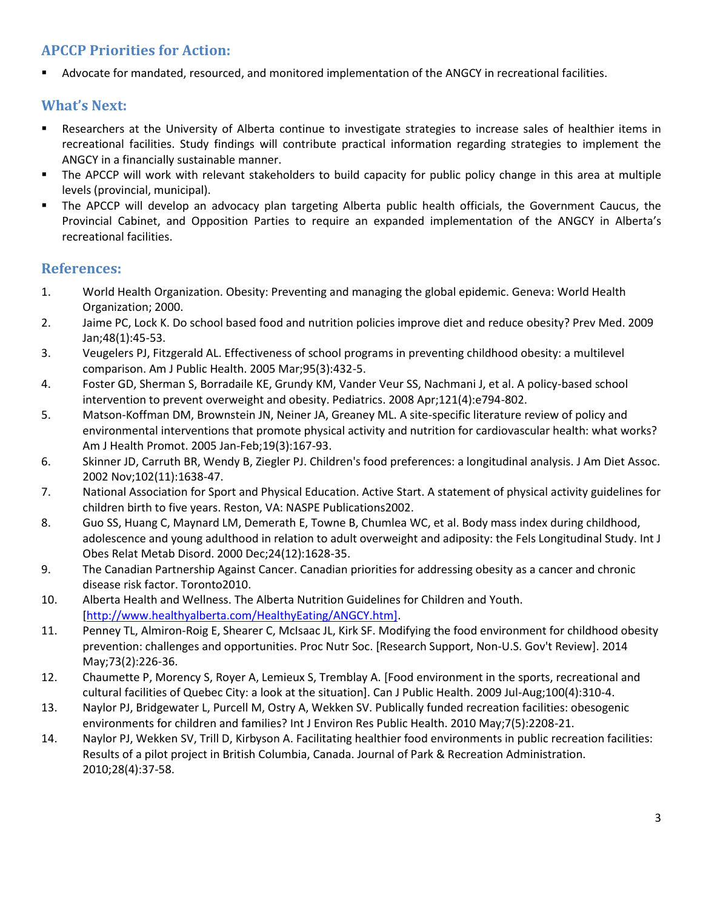## **APCCP Priorities for Action:**

Advocate for mandated, resourced, and monitored implementation of the ANGCY in recreational facilities.

### **What's Next:**

- Researchers at the University of Alberta continue to investigate strategies to increase sales of healthier items in recreational facilities. Study findings will contribute practical information regarding strategies to implement the ANGCY in a financially sustainable manner.
- The APCCP will work with relevant stakeholders to build capacity for public policy change in this area at multiple levels (provincial, municipal).
- The APCCP will develop an advocacy plan targeting Alberta public health officials, the Government Caucus, the Provincial Cabinet, and Opposition Parties to require an expanded implementation of the ANGCY in Alberta's recreational facilities.

#### **References:**

- <span id="page-2-0"></span>1. World Health Organization. Obesity: Preventing and managing the global epidemic. Geneva: World Health Organization; 2000.
- <span id="page-2-1"></span>2. Jaime PC, Lock K. Do school based food and nutrition policies improve diet and reduce obesity? Prev Med. 2009 Jan;48(1):45-53.
- <span id="page-2-2"></span>3. Veugelers PJ, Fitzgerald AL. Effectiveness of school programs in preventing childhood obesity: a multilevel comparison. Am J Public Health. 2005 Mar;95(3):432-5.
- <span id="page-2-3"></span>4. Foster GD, Sherman S, Borradaile KE, Grundy KM, Vander Veur SS, Nachmani J, et al. A policy-based school intervention to prevent overweight and obesity. Pediatrics. 2008 Apr;121(4):e794-802.
- 5. Matson-Koffman DM, Brownstein JN, Neiner JA, Greaney ML. A site-specific literature review of policy and environmental interventions that promote physical activity and nutrition for cardiovascular health: what works? Am J Health Promot. 2005 Jan-Feb;19(3):167-93.
- <span id="page-2-4"></span>6. Skinner JD, Carruth BR, Wendy B, Ziegler PJ. Children's food preferences: a longitudinal analysis. J Am Diet Assoc. 2002 Nov;102(11):1638-47.
- 7. National Association for Sport and Physical Education. Active Start. A statement of physical activity guidelines for children birth to five years. Reston, VA: NASPE Publications2002.
- 8. Guo SS, Huang C, Maynard LM, Demerath E, Towne B, Chumlea WC, et al. Body mass index during childhood, adolescence and young adulthood in relation to adult overweight and adiposity: the Fels Longitudinal Study. Int J Obes Relat Metab Disord. 2000 Dec;24(12):1628-35.
- <span id="page-2-5"></span>9. The Canadian Partnership Against Cancer. Canadian priorities for addressing obesity as a cancer and chronic disease risk factor. Toronto2010.
- <span id="page-2-6"></span>10. Alberta Health and Wellness. The Alberta Nutrition Guidelines for Children and Youth. [\[http://www.healthyalberta.com/HealthyEating/ANGCY.htm\].](http://www.healthyalberta.com/HealthyEating/ANGCY.htm%5d)
- <span id="page-2-7"></span>11. Penney TL, Almiron-Roig E, Shearer C, McIsaac JL, Kirk SF. Modifying the food environment for childhood obesity prevention: challenges and opportunities. Proc Nutr Soc. [Research Support, Non-U.S. Gov't Review]. 2014 May;73(2):226-36.
- 12. Chaumette P, Morency S, Royer A, Lemieux S, Tremblay A. [Food environment in the sports, recreational and cultural facilities of Quebec City: a look at the situation]. Can J Public Health. 2009 Jul-Aug;100(4):310-4.
- 13. Naylor PJ, Bridgewater L, Purcell M, Ostry A, Wekken SV. Publically funded recreation facilities: obesogenic environments for children and families? Int J Environ Res Public Health. 2010 May;7(5):2208-21.
- <span id="page-2-8"></span>14. Naylor PJ, Wekken SV, Trill D, Kirbyson A. Facilitating healthier food environments in public recreation facilities: Results of a pilot project in British Columbia, Canada. Journal of Park & Recreation Administration. 2010;28(4):37-58.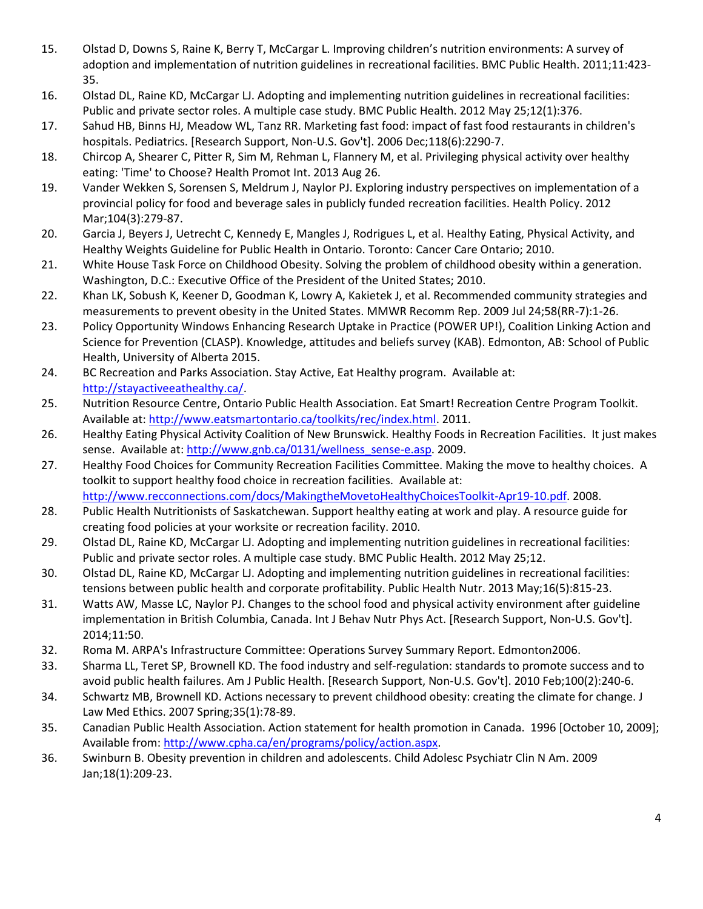- <span id="page-3-7"></span>15. Olstad D, Downs S, Raine K, Berry T, McCargar L. Improving children's nutrition environments: A survey of adoption and implementation of nutrition guidelines in recreational facilities. BMC Public Health. 2011;11:423- 35.
- <span id="page-3-9"></span>16. Olstad DL, Raine KD, McCargar LJ. Adopting and implementing nutrition guidelines in recreational facilities: Public and private sector roles. A multiple case study. BMC Public Health. 2012 May 25;12(1):376.
- <span id="page-3-0"></span>17. Sahud HB, Binns HJ, Meadow WL, Tanz RR. Marketing fast food: impact of fast food restaurants in children's hospitals. Pediatrics. [Research Support, Non-U.S. Gov't]. 2006 Dec;118(6):2290-7.
- <span id="page-3-1"></span>18. Chircop A, Shearer C, Pitter R, Sim M, Rehman L, Flannery M, et al. Privileging physical activity over healthy eating: 'Time' to Choose? Health Promot Int. 2013 Aug 26.
- <span id="page-3-2"></span>19. Vander Wekken S, Sorensen S, Meldrum J, Naylor PJ. Exploring industry perspectives on implementation of a provincial policy for food and beverage sales in publicly funded recreation facilities. Health Policy. 2012 Mar;104(3):279-87.
- <span id="page-3-3"></span>20. Garcia J, Beyers J, Uetrecht C, Kennedy E, Mangles J, Rodrigues L, et al. Healthy Eating, Physical Activity, and Healthy Weights Guideline for Public Health in Ontario. Toronto: Cancer Care Ontario; 2010.
- 21. White House Task Force on Childhood Obesity. Solving the problem of childhood obesity within a generation. Washington, D.C.: Executive Office of the President of the United States; 2010.
- 22. Khan LK, Sobush K, Keener D, Goodman K, Lowry A, Kakietek J, et al. Recommended community strategies and measurements to prevent obesity in the United States. MMWR Recomm Rep. 2009 Jul 24;58(RR-7):1-26.
- <span id="page-3-4"></span>23. Policy Opportunity Windows Enhancing Research Uptake in Practice (POWER UP!), Coalition Linking Action and Science for Prevention (CLASP). Knowledge, attitudes and beliefs survey (KAB). Edmonton, AB: School of Public Health, University of Alberta 2015.
- <span id="page-3-5"></span>24. BC Recreation and Parks Association. Stay Active, Eat Healthy program. Available at: [http://stayactiveeathealthy.ca/.](http://stayactiveeathealthy.ca/)
- <span id="page-3-6"></span>25. Nutrition Resource Centre, Ontario Public Health Association. Eat Smart! Recreation Centre Program Toolkit. Available at[: http://www.eatsmartontario.ca/toolkits/rec/index.html.](http://www.eatsmartontario.ca/toolkits/rec/index.html) 2011.
- 26. Healthy Eating Physical Activity Coalition of New Brunswick. Healthy Foods in Recreation Facilities. It just makes sense. Available at[: http://www.gnb.ca/0131/wellness\\_sense-e.asp.](http://www.gnb.ca/0131/wellness_sense-e.asp) 2009.
- 27. Healthy Food Choices for Community Recreation Facilities Committee. Making the move to healthy choices. A toolkit to support healthy food choice in recreation facilities. Available at: [http://www.recconnections.com/docs/MakingtheMovetoHealthyChoicesToolkit-Apr19-10.pdf.](http://www.recconnections.com/docs/MakingtheMovetoHealthyChoicesToolkit-Apr19-10.pdf) 2008.
- 28. Public Health Nutritionists of Saskatchewan. Support healthy eating at work and play. A resource guide for creating food policies at your worksite or recreation facility. 2010.
- <span id="page-3-8"></span>29. Olstad DL, Raine KD, McCargar LJ. Adopting and implementing nutrition guidelines in recreational facilities: Public and private sector roles. A multiple case study. BMC Public Health. 2012 May 25;12.
- <span id="page-3-10"></span>30. Olstad DL, Raine KD, McCargar LJ. Adopting and implementing nutrition guidelines in recreational facilities: tensions between public health and corporate profitability. Public Health Nutr. 2013 May;16(5):815-23.
- <span id="page-3-11"></span>31. Watts AW, Masse LC, Naylor PJ. Changes to the school food and physical activity environment after guideline implementation in British Columbia, Canada. Int J Behav Nutr Phys Act. [Research Support, Non-U.S. Gov't]. 2014;11:50.
- <span id="page-3-12"></span>32. Roma M. ARPA's Infrastructure Committee: Operations Survey Summary Report. Edmonton2006.
- <span id="page-3-13"></span>33. Sharma LL, Teret SP, Brownell KD. The food industry and self-regulation: standards to promote success and to avoid public health failures. Am J Public Health. [Research Support, Non-U.S. Gov't]. 2010 Feb;100(2):240-6.
- <span id="page-3-14"></span>34. Schwartz MB, Brownell KD. Actions necessary to prevent childhood obesity: creating the climate for change. J Law Med Ethics. 2007 Spring;35(1):78-89.
- 35. Canadian Public Health Association. Action statement for health promotion in Canada. 1996 [October 10, 2009]; Available from[: http://www.cpha.ca/en/programs/policy/action.aspx.](http://www.cpha.ca/en/programs/policy/action.aspx)
- 36. Swinburn B. Obesity prevention in children and adolescents. Child Adolesc Psychiatr Clin N Am. 2009 Jan;18(1):209-23.